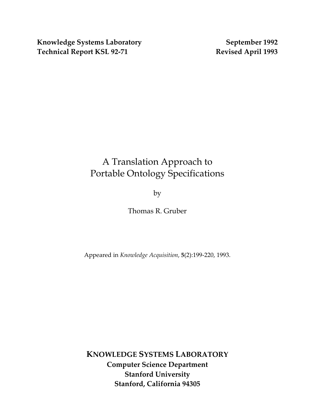Knowledge Systems Laboratory **September 1992** Technical Report KSL 92-71 Revised April 1993

# A Translation Approach to Portable Ontology Specifications

by

Thomas R. Gruber

Appeared in *Knowledge Acquisition*, **5**(2):199-220, 1993.

**KNOWLEDGE SYSTEMS LABORATORY Computer Science Department Stanford University Stanford, California 94305**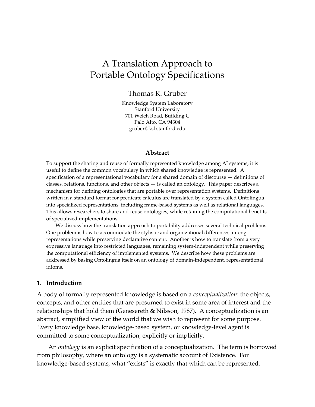# A Translation Approach to Portable Ontology Specifications

Thomas R. Gruber

Knowledge System Laboratory Stanford University 701 Welch Road, Building C Palo Alto, CA 94304 gruber@ksl.stanford.edu

#### **Abstract**

To support the sharing and reuse of formally represented knowledge among AI systems, it is useful to define the common vocabulary in which shared knowledge is represented. A specification of a representational vocabulary for a shared domain of discourse — definitions of classes, relations, functions, and other objects — is called an ontology. This paper describes a mechanism for defining ontologies that are portable over representation systems. Definitions written in a standard format for predicate calculus are translated by a system called Ontolingua into specialized representations, including frame-based systems as well as relational languages. This allows researchers to share and reuse ontologies, while retaining the computational benefits of specialized implementations.

We discuss how the translation approach to portability addresses several technical problems. One problem is how to accommodate the stylistic and organizational differences among representations while preserving declarative content. Another is how to translate from a very expressive language into restricted languages, remaining system-independent while preserving the computational efficiency of implemented systems. We describe how these problems are addressed by basing Ontolingua itself on an ontology of domain-independent, representational idioms.

#### **1. Introduction**

A body of formally represented knowledge is based on a *conceptualization*: the objects, concepts, and other entities that are presumed to exist in some area of interest and the relationships that hold them (Genesereth & Nilsson, 1987). A conceptualization is an abstract, simplified view of the world that we wish to represent for some purpose. Every knowledge base, knowledge-based system, or knowledge-level agent is committed to some conceptualization, explicitly or implicitly.

An *ontology* is an explicit specification of a conceptualization. The term is borrowed from philosophy, where an ontology is a systematic account of Existence. For knowledge-based systems, what "exists" is exactly that which can be represented.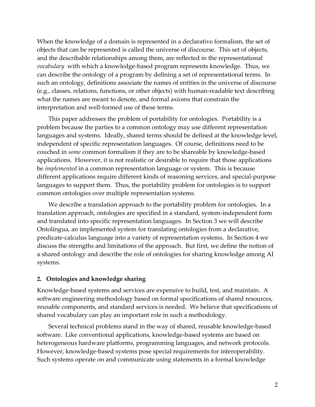When the knowledge of a domain is represented in a declarative formalism, the set of objects that can be represented is called the universe of discourse. This set of objects, and the describable relationships among them, are reflected in the representational *vocabulary* with which a knowledge-based program represents knowledge. Thus, we can describe the ontology of a program by defining a set of representational terms. In such an ontology, definitions associate the names of entities in the universe of discourse (e.g., classes, relations, functions, or other objects) with human-readable text describing what the names are meant to denote, and formal axioms that constrain the interpretation and well-formed use of these terms.

This paper addresses the problem of portability for ontologies. Portability is a problem because the parties to a common ontology may use different representation languages and systems. Ideally, shared terms should be defined at the knowledge level, independent of specific representation languages. Of course, definitions need to be couched in *some* common formalism if they are to be shareable by knowledge-based applications. However, it is not realistic or desirable to require that those applications be *implemented* in a common representation language or system. This is because different applications require different kinds of reasoning services, and special-purpose languages to support them. Thus, the portability problem for ontologies is to support common ontologies over multiple representation systems.

We describe a translation approach to the portability problem for ontologies. In a translation approach, ontologies are specified in a standard, system-independent form and translated into specific representation languages. In Section 3 we will describe Ontolingua, an implemented system for translating ontologies from a declarative, predicate-calculus language into a variety of representation systems. In Section 4 we discuss the strengths and limitations of the approach. But first, we define the notion of a shared ontology and describe the role of ontologies for sharing knowledge among AI systems.

#### **2. Ontologies and knowledge sharing**

Knowledge-based systems and services are expensive to build, test, and maintain. A software engineering methodology based on formal specifications of shared resources, reusable components, and standard services is needed. We believe that specifications of shared vocabulary can play an important role in such a methodology.

Several technical problems stand in the way of shared, reusable knowledge-based software. Like conventional applications, knowledge-based systems are based on heterogeneous hardware platforms, programming languages, and network protocols. However, knowledge-based systems pose special requirements for interoperability. Such systems operate on and communicate using statements in a formal knowledge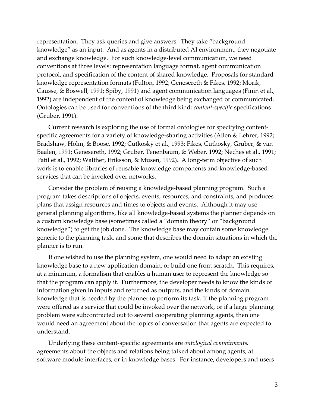representation. They ask queries and give answers. They take "background knowledge" as an input. And as agents in a distributed AI environment, they negotiate and exchange knowledge. For such knowledge-level communication, we need conventions at three levels: representation language format, agent communication protocol, and specification of the content of shared knowledge. Proposals for standard knowledge representation formats (Fulton, 1992; Genesereth & Fikes, 1992; Morik, Causse, & Boswell, 1991; Spiby, 1991) and agent communication languages (Finin et al., 1992) are independent of the content of knowledge being exchanged or communicated. Ontologies can be used for conventions of the third kind: *content-specific* specifications (Gruber, 1991).

Current research is exploring the use of formal ontologies for specifying contentspecific agreements for a variety of knowledge-sharing activities (Allen & Lehrer, 1992; Bradshaw, Holm, & Boose, 1992; Cutkosky et al., 1993; Fikes, Cutkosky, Gruber, & van Baalen, 1991; Genesereth, 1992; Gruber, Tenenbaum, & Weber, 1992; Neches et al., 1991; Patil et al., 1992; Walther, Eriksson, & Musen, 1992). A long-term objective of such work is to enable libraries of reusable knowledge components and knowledge-based services that can be invoked over networks.

Consider the problem of reusing a knowledge-based planning program. Such a program takes descriptions of objects, events, resources, and constraints, and produces plans that assign resources and times to objects and events. Although it may use general planning algorithms, like all knowledge-based systems the planner depends on a custom knowledge base (sometimes called a "domain theory" or "background knowledge") to get the job done. The knowledge base may contain some knowledge generic to the planning task, and some that describes the domain situations in which the planner is to run.

If one wished to use the planning system, one would need to adapt an existing knowledge base to a new application domain, or build one from scratch. This requires, at a minimum, a formalism that enables a human user to represent the knowledge so that the program can apply it. Furthermore, the developer needs to know the kinds of information given in inputs and returned as outputs, and the kinds of domain knowledge that is needed by the planner to perform its task. If the planning program were offered as a service that could be invoked over the network, or if a large planning problem were subcontracted out to several cooperating planning agents, then one would need an agreement about the topics of conversation that agents are expected to understand.

Underlying these content-specific agreements are *ontological commitments:* agreements about the objects and relations being talked about among agents, at software module interfaces, or in knowledge bases. For instance, developers and users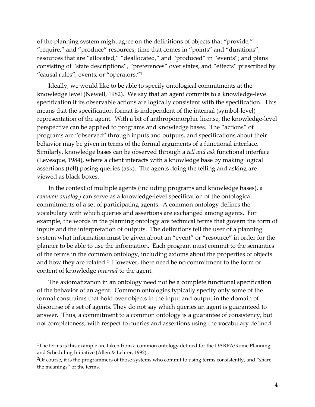of the planning system might agree on the definitions of objects that "provide," "require," and "produce" resources; time that comes in "points" and "durations"; resources that are "allocated," "deallocated," and "produced" in "events"; and plans consisting of "state descriptions", "preferences" over states, and "effects" prescribed by "causal rules", events, or "operators.["1](#page-4-0)

Ideally, we would like to be able to specify ontological commitments at the knowledge level (Newell, 1982). We say that an agent commits to a knowledge-level specification if its observable actions are logically consistent with the specification. This means that the specification format is independent of the internal (symbol-level) representation of the agent. With a bit of anthropomorphic license, the knowledge-level perspective can be applied to programs and knowledge bases. The "actions" of programs are "observed" through inputs and outputs, and specifications about their behavior may be given in terms of the formal arguments of a functional interface. Similarly, knowledge bases can be observed through a *tell and ask* functional interface (Levesque, 1984), where a client interacts with a knowledge base by making logical assertions (tell) posing queries (ask). The agents doing the telling and asking are viewed as black boxes.

In the context of multiple agents (including programs and knowledge bases), a *common ontology* can serve as a knowledge-level specification of the ontological commitments of a set of participating agents. A common ontology defines the vocabulary with which queries and assertions are exchanged among agents. For example, the words in the planning ontology are technical terms that govern the form of inputs and the interpretation of outputs. The definitions tell the user of a planning system what information must be given about an "event" or "resource" in order for the planner to be able to use the information. Each program must commit to the semantics of the terms in the common ontology, including axioms about the properties of objects and how they are related.[2](#page-4-1) However, there need be no commitment to the form or content of knowledge *internal* to the agent.

The axiomatization in an ontology need not be a complete functional specification of the behavior of an agent. Common ontologies typically specify only some of the formal constraints that hold over objects in the input and output in the domain of discourse of a set of agents. They do not say which queries an agent is guaranteed to answer. Thus, a commitment to a common ontology is a guarantee of consistency, but not completeness, with respect to queries and assertions using the vocabulary defined

-

<span id="page-4-0"></span><sup>&</sup>lt;sup>1</sup>The terms is this example are taken from a common ontology defined for the DARPA/Rome Planning and Scheduling Initiative (Allen & Lehrer, 1992) .

<span id="page-4-1"></span><sup>2</sup>Of course, it is the programmers of those systems who commit to using terms consistently, and "share the meanings" of the terms.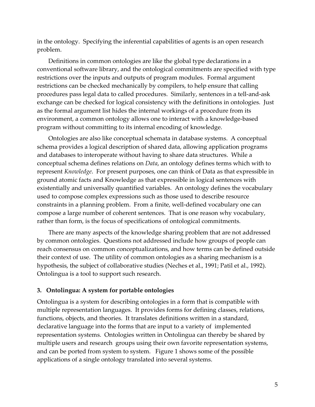in the ontology. Specifying the inferential capabilities of agents is an open research problem.

Definitions in common ontologies are like the global type declarations in a conventional software library, and the ontological commitments are specified with type restrictions over the inputs and outputs of program modules. Formal argument restrictions can be checked mechanically by compilers, to help ensure that calling procedures pass legal data to called procedures. Similarly, sentences in a tell-and-ask exchange can be checked for logical consistency with the definitions in ontologies. Just as the formal argument list hides the internal workings of a procedure from its environment, a common ontology allows one to interact with a knowledge-based program without committing to its internal encoding of knowledge.

Ontologies are also like conceptual schemata in database systems. A conceptual schema provides a logical description of shared data, allowing application programs and databases to interoperate without having to share data structures. While a conceptual schema defines relations on *Data*, an ontology defines terms which with to represent *Knowledge*. For present purposes, one can think of Data as that expressible in ground atomic facts and Knowledge as that expressible in logical sentences with existentially and universally quantified variables. An ontology defines the vocabulary used to compose complex expressions such as those used to describe resource constraints in a planning problem. From a finite, well-defined vocabulary one can compose a large number of coherent sentences. That is one reason why vocabulary, rather than form, is the focus of specifications of ontological commitments.

There are many aspects of the knowledge sharing problem that are not addressed by common ontologies. Questions not addressed include how groups of people can reach consensus on common conceptualizations, and how terms can be defined outside their context of use. The utility of common ontologies as a sharing mechanism is a hypothesis, the subject of collaborative studies (Neches et al., 1991; Patil et al., 1992). Ontolingua is a tool to support such research.

#### **3. Ontolingua: A system for portable ontologies**

Ontolingua is a system for describing ontologies in a form that is compatible with multiple representation languages. It provides forms for defining classes, relations, functions, objects, and theories. It translates definitions written in a standard, declarative language into the forms that are input to a variety of implemented representation systems. Ontologies written in Ontolingua can thereby be shared by multiple users and research groups using their own favorite representation systems, and can be ported from system to system. Figure 1 shows some of the possible applications of a single ontology translated into several systems.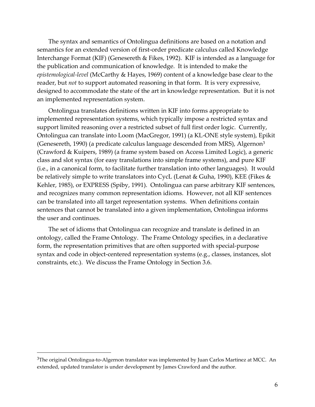The syntax and semantics of Ontolingua definitions are based on a notation and semantics for an extended version of first-order predicate calculus called Knowledge Interchange Format (KIF) (Genesereth & Fikes, 1992). KIF is intended as a language for the publication and communication of knowledge. It is intended to make the *epistemological-level* (McCarthy & Hayes, 1969) content of a knowledge base clear to the reader, but *not* to support automated reasoning in that form. It is very expressive, designed to accommodate the state of the art in knowledge representation. But it is not an implemented representation system.

Ontolingua translates definitions written in KIF into forms appropriate to implemented representation systems, which typically impose a restricted syntax and support limited reasoning over a restricted subset of full first order logic. Currently, Ontolingua can translate into Loom (MacGregor, 1991) (a KL-ONE style system), Epikit (Genesereth, 1990) (a predicate calculus language descended from MRS), Algernon[3](#page-6-0) (Crawford & Kuipers, 1989) (a frame system based on Access Limited Logic), a generic class and slot syntax (for easy translations into simple frame systems), and pure KIF (i.e., in a canonical form, to facilitate further translation into other languages). It would be relatively simple to write translators into CycL (Lenat & Guha, 1990), KEE (Fikes & Kehler, 1985), or EXPRESS (Spiby, 1991). Ontolingua can parse arbitrary KIF sentences, and recognizes many common representation idioms. However, not all KIF sentences can be translated into all target representation systems. When definitions contain sentences that cannot be translated into a given implementation, Ontolingua informs the user and continues.

The set of idioms that Ontolingua can recognize and translate is defined in an ontology, called the Frame Ontology. The Frame Ontology specifies, in a declarative form, the representation primitives that are often supported with special-purpose syntax and code in object-centered representation systems (e.g., classes, instances, slot constraints, etc.). We discuss the Frame Ontology in Section 3.6.

 $\overline{a}$ 

<span id="page-6-0"></span> $3$ The original Ontolingua-to-Algernon translator was implemented by Juan Carlos Martinez at MCC. An extended, updated translator is under development by James Crawford and the author.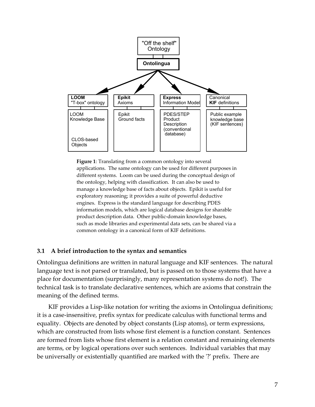

**Figure 1**: Translating from a common ontology into several applications. The same ontology can be used for different purposes in different systems. Loom can be used during the conceptual design of the ontology, helping with classification. It can also be used to manage a knowledge base of facts about objects. Epikit is useful for exploratory reasoning; it provides a suite of powerful deductive engines. Express is the standard language for describing PDES information models, which are logical database designs for sharable product description data. Other public-domain knowledge bases, such as mode libraries and experimental data sets, can be shared via a common ontology in a canonical form of KIF definitions.

#### **3.1 A brief introduction to the syntax and semantics**

Ontolingua definitions are written in natural language and KIF sentences. The natural language text is not parsed or translated, but is passed on to those systems that have a place for documentation (surprisingly, many representation systems do not!). The technical task is to translate declarative sentences, which are axioms that constrain the meaning of the defined terms.

KIF provides a Lisp-like notation for writing the axioms in Ontolingua definitions; it is a case-insensitive, prefix syntax for predicate calculus with functional terms and equality. Objects are denoted by object constants (Lisp atoms), or term expressions, which are constructed from lists whose first element is a function constant. Sentences are formed from lists whose first element is a relation constant and remaining elements are terms, or by logical operations over such sentences. Individual variables that may be universally or existentially quantified are marked with the '?' prefix. There are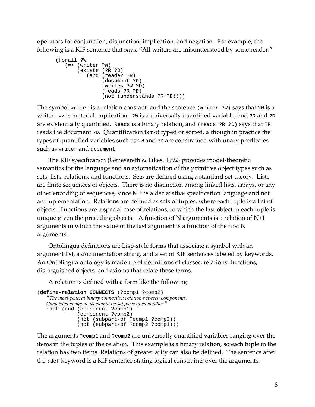operators for conjunction, disjunction, implication, and negation. For example, the following is a KIF sentence that says, "All writers are misunderstood by some reader."

```
 (forall ?W 
    (=> (writer ?W) 
        (exists (?R ?D) 
            (and (reader ?R) 
                  (document ?D) 
                  (writes ?W ?D) 
                  (reads ?R ?D) 
                  (not (understands ?R ?D))))
```
The symbol writer is a relation constant, and the sentence (writer ?W) says that ?W is a writer.  $\Rightarrow$  is material implication.  $\Rightarrow$  is a universally quantified variable, and  $\Rightarrow$  and  $\Rightarrow$   $\Rightarrow$ are existentially quantified. Reads is a binary relation, and (reads ?R ?D) says that ?R reads the document ?D. Quantification is not typed or sorted, although in practice the types of quantified variables such as ?w and ?D are constrained with unary predicates such as writer and document.

The KIF specification (Genesereth & Fikes, 1992) provides model-theoretic semantics for the language and an axiomatization of the primitive object types such as sets, lists, relations, and functions. Sets are defined using a standard set theory. Lists are finite sequences of objects. There is no distinction among linked lists, arrays, or any other encoding of sequences, since KIF is a declarative specification language and not an implementation. Relations are defined as sets of tuples, where each tuple is a list of objects. Functions are a special case of relations, in which the last object in each tuple is unique given the preceding objects. A function of N arguments is a relation of  $N+1$ arguments in which the value of the last argument is a function of the first N arguments.

Ontolingua definitions are Lisp-style forms that associate a symbol with an argument list, a documentation string, and a set of KIF sentences labeled by keywords. An Ontolingua ontology is made up of definitions of classes, relations, functions, distinguished objects, and axioms that relate these terms.

A relation is defined with a form like the following:

```
(define-relation CONNECTS (?comp1 ?comp2) 
   "The most general binary connection relation between components. 
   Connected components cannot be subparts of each other." 
   :def (and (component ?comp1) 
    (component ?comp2) 
               (not (subpart-of ?comp1 ?comp2)) 
               (not (subpart-of ?comp2 ?comp1)))
```
The arguments ?comp1 and ?comp2 are universally quantified variables ranging over the items in the tuples of the relation. This example is a binary relation, so each tuple in the relation has two items. Relations of greater arity can also be defined. The sentence after the :def keyword is a KIF sentence stating logical constraints over the arguments.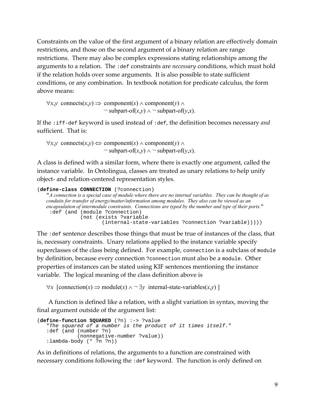Constraints on the value of the first argument of a binary relation are effectively domain restrictions, and those on the second argument of a binary relation are range restrictions. There may also be complex expressions stating relationships among the arguments to a relation. The :def constraints are *necessary* conditions, which must hold if the relation holds over some arguments. It is also possible to state sufficient conditions, or any combination. In textbook notation for predicate calculus, the form above means:

```
\forall x, y \text{ connects}(x, y) \implies \text{component}(x) \land \text{component}(y) \land \text{constant}(y)\neg subpart-of(x,y) \land \neg subpart-of(y,x).
```
If the :iff-def keyword is used instead of :def, the definition becomes necessary *and*  sufficient. That is:

∀*x*,*y* connects(*x*,*y*) ⇔ component(*x*) ∧ component(*y*) ∧  $\neg$  subpart-of(*x*,*y*)  $\land \neg$  subpart-of(*y*,*x*).

A class is defined with a similar form, where there is exactly one argument, called the instance variable. In Ontolingua, classes are treated as unary relations to help unify object- and relation-centered representation styles.

```
(define-class CONNECTION (?connection) 
   "A connection is a special case of module where there are no internal variables. They can be thought of as 
   conduits for transfer of energy/matter/information among modules. They also can be viewed as an 
   encapsulation of intermodule constraints. Connections are typed by the number and type of their ports." 
     :def (and (module ?connection)
                  (not (exists ?variable 
                            (internal-state-variables ?connection ?variable)))))
```
The :def sentence describes those things that must be true of instances of the class, that is, necessary constraints. Unary relations applied to the instance variable specify superclasses of the class being defined. For example, connection is a subclass of module by definition, because every connection ?connection must also be a module. Other properties of instances can be stated using KIF sentences mentioning the instance variable. The logical meaning of the class definition above is

 $\forall x$  [connection(*x*) ⇒ module(*x*) ∧ ¬ ∃*y* internal-state-variables(*x*,*y*) ]

A function is defined like a relation, with a slight variation in syntax, moving the final argument outside of the argument list:

```
(define-function SQUARED (?n) :-> ?value "The squared of a number is the product of it times itself." 
    :def (and (number ?n) 
                  (nonnegative-number ?value)) 
    :lambda-body (* ?n ?n))
```
As in definitions of relations, the arguments to a function are constrained with necessary conditions following the :def keyword. The function is only defined on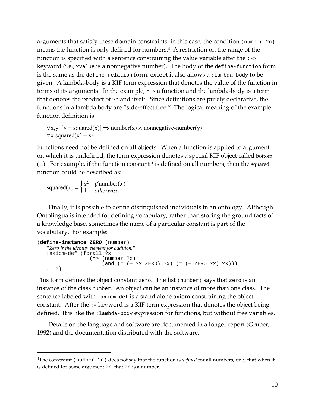arguments that satisfy these domain constraints; in this case, the condition (number ?n) means the function is only defined for numbers.[4](#page-10-0) A restriction on the range of the function is specified with a sentence constraining the value variable after the :-> keyword (i.e., ?value is a nonnegative number). The body of the define-function form is the same as the define-relation form, except it also allows a :lambda-body to be given. A lambda-body is a KIF term expression that denotes the value of the function in terms of its arguments. In the example, \* is a function and the lambda-body is a term that denotes the product of ?n and itself. Since definitions are purely declarative, the functions in a lambda body are "side-effect free." The logical meaning of the example function definition is

 $\forall x, y \ [y = squared(x)] \Rightarrow number(x) \land nonnegative-number(y)$  $\forall x \text{ squared}(x) = x^2$ 

Functions need not be defined on all objects. When a function is applied to argument on which it is undefined, the term expression denotes a special KIF object called bottom  $(\perp)$ . For example, if the function constant \* is defined on all numbers, then the squared function could be described as:

 $square(x) = \begin{cases} x^2 & \text{if number}(x) \\ \perp & \text{otherwise} \end{cases}$  $\begin{cases} \cdot \\ - \end{cases}$ 

-

Finally, it is possible to define distinguished individuals in an ontology. Although Ontolingua is intended for defining vocabulary, rather than storing the ground facts of a knowledge base, sometimes the name of a particular constant is part of the vocabulary. For example:

```
(define-instance ZERO (number) 
   "Zero is the identity element for addition." 
   :axiom-def (forall ?x 
                   (=> (number ?x)
                      (and (= (+ ?x ZERO) ?x) (= (+ ZERO ?x) ?x))):= 0)
```
This form defines the object constant zero. The list (number) says that zero is an instance of the class number. An object can be an instance of more than one class. The sentence labeled with : axiom-def is a stand alone axiom constraining the object constant. After the := keyword is a KIF term expression that denotes the object being defined. It is like the : lambda-body expression for functions, but without free variables.

Details on the language and software are documented in a longer report (Gruber, 1992) and the documentation distributed with the software.

<span id="page-10-0"></span><sup>4</sup>The constraint (number ?n) does not say that the function is *defined* for all numbers, only that when it is defined for some argument ?n, that ?n is a number.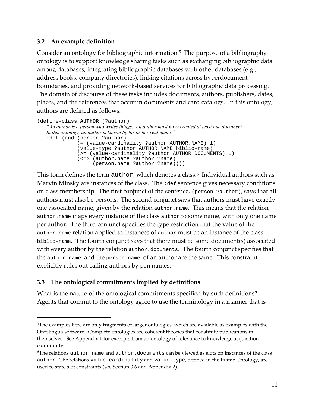## **3.2 An example definition**

Consider an ontology for bibliographic information.[5](#page-11-0) The purpose of a bibliography ontology is to support knowledge sharing tasks such as exchanging bibliographic data among databases, integrating bibliographic databases with other databases (e.g., address books, company directories), linking citations across hyperdocument boundaries, and providing network-based services for bibliographic data processing. The domain of discourse of these tasks includes documents, authors, publishers, dates, places, and the references that occur in documents and card catalogs. In this ontology, authors are defined as follows.

```
(define-class AUTHOR (?author) 
   "An author is a person who writes things. An author must have created at least one document. 
   In this ontology, an author is known by his or her real name." 
   :def (and (person ?author) 
               (= (value-cardinality ?author AUTHOR.NAME) 1) 
               (value-type ?author AUTHOR.NAME biblio-name) 
    (>= (value-cardinality ?author AUTHOR.DOCUMENTS) 1) 
    (<=> (author.name ?author ?name) 
                    (person.name ?author ?name))))
```
This form defines the term author, which denotes a class.<sup>6</sup> Individual authors such as Marvin Minsky are instances of the class. The :def sentence gives necessary conditions on class membership. The first conjunct of the sentence, (person ?author), says that all authors must also be persons. The second conjunct says that authors must have exactly one associated name, given by the relation author.name. This means that the relation author.name maps every instance of the class author to some name, with only one name per author. The third conjunct specifies the type restriction that the value of the author.name relation applied to instances of author must be an instance of the class biblio-name. The fourth conjunct says that there must be some document(s) associated with every author by the relation author.documents. The fourth conjunct specifies that the author.name and the person.name of an author are the same. This constraint explicitly rules out calling authors by pen names.

# **3.3 The ontological commitments implied by definitions**

-

What is the nature of the ontological commitments specified by such definitions? Agents that commit to the ontology agree to use the terminology in a manner that is

<span id="page-11-0"></span><sup>5</sup>The examples here are only fragments of larger ontologies, which are available as examples with the Ontolingua software. Complete ontologies are coherent theories that constitute publications in themselves. See Appendix 1 for excerpts from an ontology of relevance to knowledge acquisition community.

<span id="page-11-1"></span> $6$ The relations author.name and author.documents can be viewed as slots on instances of the class author. The relations value-cardinality and value-type, defined in the Frame Ontology, are used to state slot constraints (see Section 3.6 and Appendix 2).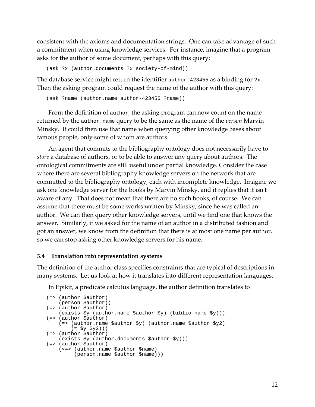consistent with the axioms and documentation strings. One can take advantage of such a commitment when using knowledge services. For instance, imagine that a program asks for the author of some document, perhaps with this query:

(ask ?x (author.documents ?x society-of-mind))

The database service might return the identifier author-423455 as a binding for ?x. Then the asking program could request the name of the author with this query:

```
(ask ?name (author.name author-423455 ?name))
```
From the definition of author, the asking program can now count on the name returned by the author.name query to be the same as the name of the *person* Marvin Minsky. It could then use that name when querying other knowledge bases about famous people, only some of whom are authors.

An agent that commits to the bibliography ontology does not necessarily have to *store* a database of authors, or to be able to answer any query about authors. The ontological commitments are still useful under partial knowledge. Consider the case where there are several bibliography knowledge servers on the network that are committed to the bibliography ontology, each with incomplete knowledge. Imagine we ask one knowledge server for the books by Marvin Minsky, and it replies that it isn't aware of any. That does not mean that there are no such books, of course. We can assume that there must be some works written by Minsky, since he was called an author. We can then query other knowledge servers, until we find one that knows the answer. Similarly, if we asked for the name of an author in a distributed fashion and got an answer, we know from the definition that there is at most one name per author, so we can stop asking other knowledge servers for his name.

#### **3.4 Translation into representation systems**

The definition of the author class specifies constraints that are typical of descriptions in many systems. Let us look at how it translates into different representation languages.

In Epikit, a predicate calculus language, the author definition translates to

```
(=> (author $author) 
     (person $author)) 
(=> (author $author) 
    (exists $y (author.name $author $y) (biblio-name $y))) 
(=> (author $author) 
     (=> (author.name $author $y) (author.name $author $y2) 
         (= $y $y2))) 
(=> (author $author) 
 (exists $y (author.documents $author $y))) 
(=> (author \frac{1}{2}author)
     (<=> (author.name $author $name) 
          (person.name $author $name)))
```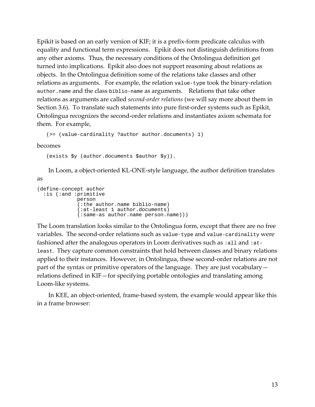Epikit is based on an early version of KIF; it is a prefix-form predicate calculus with equality and functional term expressions. Epikit does not distinguish definitions from any other axioms. Thus, the necessary conditions of the Ontolingua definition get turned into implications. Epikit also does not support reasoning about relations as objects. In the Ontolingua definition some of the relations take classes and other relations as arguments. For example, the relation value-type took the binary-relation author.name and the class biblio-name as arguments. Relations that take other relations as arguments are called *second-order relations* (we will say more about them in Section 3.6). To translate such statements into pure first-order systems such as Epikit, Ontolingua recognizes the second-order relations and instantiates axiom schemata for them. For example,

```
(>= (value-cardinality ?author author.documents) 1)
```
becomes

(exists \$y (author.documents \$author \$y)).

In Loom, a object-oriented KL-ONE-style language, the author definition translates as

```
(define-concept author 
  :is (:and :primitive 
              person 
              (:the author.name biblio-name) 
               (:at-least 1 author.documents) 
               (:same-as author.name person.name)))
```
The Loom translation looks similar to the Ontolingua form, except that there are no free variables. The second-order relations such as value-type and value-cardinality were fashioned after the analogous operators in Loom derivatives such as :all and :atleast. They capture common constraints that hold between classes and binary relations applied to their instances. However, in Ontolingua, these second-order relations are not part of the syntax or primitive operators of the language. They are just vocabulary relations defined in KIF—for specifying portable ontologies and translating among Loom-like systems.

In KEE, an object-oriented, frame-based system, the example would appear like this in a frame browser: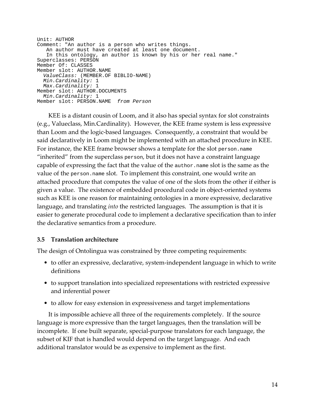```
Unit: AUTHOR 
Comment: "An author is a person who writes things. 
   An author must have created at least one document. 
   In this ontology, an author is known by his or her real name." 
Superclasses: PERSON 
Member Of: CLASSES 
Member slot: AUTHOR.NAME 
  ValueClass: (MEMBER.OF BIBLIO-NAME) 
 Min.Cardinality: 1<br>Max.Cardinality: 1
Member slot: AUTHOR.DOCUMENTS 
  Min.Cardinality: 1 
Member slot: PERSON.NAME from Person
```
KEE is a distant cousin of Loom, and it also has special syntax for slot constraints (e.g., Valueclass, Min.Cardinality). However, the KEE frame system is less expressive than Loom and the logic-based languages. Consequently, a constraint that would be said declaratively in Loom might be implemented with an attached procedure in KEE. For instance, the KEE frame browser shows a template for the slot person.name "inherited" from the superclass person, but it does not have a constraint language capable of expressing the fact that the value of the author.name slot is the same as the value of the person.name slot. To implement this constraint, one would write an attached procedure that computes the value of one of the slots from the other if either is given a value. The existence of embedded procedural code in object-oriented systems such as KEE is one reason for maintaining ontologies in a more expressive, declarative language, and translating *into* the restricted languages. The assumption is that it is easier to generate procedural code to implement a declarative specification than to infer the declarative semantics from a procedure.

## **3.5 Translation architecture**

The design of Ontolingua was constrained by three competing requirements:

- to offer an expressive, declarative, system-independent language in which to write definitions
- to support translation into specialized representations with restricted expressive and inferential power
- to allow for easy extension in expressiveness and target implementations

It is impossible achieve all three of the requirements completely. If the source language is more expressive than the target languages, then the translation will be incomplete. If one built separate, special-purpose translators for each language, the subset of KIF that is handled would depend on the target language. And each additional translator would be as expensive to implement as the first.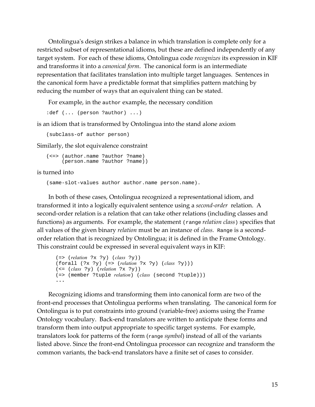Ontolingua's design strikes a balance in which translation is complete only for a restricted subset of representational idioms, but these are defined independently of any target system. For each of these idioms, Ontolingua code *recognizes* its expression in KIF and transforms it into a *canonical form*. The canonical form is an intermediate representation that facilitates translation into multiple target languages. Sentences in the canonical form have a predictable format that simplifies pattern matching by reducing the number of ways that an equivalent thing can be stated.

For example, in the author example, the necessary condition

```
:def (... (person ?author) ...)
```
is an idiom that is transformed by Ontolingua into the stand alone axiom

(subclass-of author person)

Similarly, the slot equivalence constraint

```
(<=> (author.name ?author ?name) 
      (person.name ?author ?name))
```
is turned into

(same-slot-values author author.name person.name).

In both of these cases, Ontolingua recognized a representational idiom, and transformed it into a logically equivalent sentence using a *second-order* relation. A second-order relation is a relation that can take other relations (including classes and functions) as arguments. For example, the statement (range *relation class*) specifies that all values of the given binary *relation* must be an instance of *class.* Range is a secondorder relation that is recognized by Ontolingua; it is defined in the Frame Ontology. This constraint could be expressed in several equivalent ways in KIF:

```
 (=> (relation ?x ?y) (class ?y)) 
(forall (?x ?y) (=> (relation ?x ?y) (class ?y))) 
 (<= (class ?y) (relation ?x ?y)) 
(=> (member ?tuple relation) (class (second ?tuple))) 
...
```
Recognizing idioms and transforming them into canonical form are two of the front-end processes that Ontolingua performs when translating. The canonical form for Ontolingua is to put constraints into ground (variable-free) axioms using the Frame Ontology vocabulary. Back-end translators are written to anticipate these forms and transform them into output appropriate to specific target systems. For example, translators look for patterns of the form (range *symbol*) instead of all of the variants listed above. Since the front-end Ontolingua processor can recognize and transform the common variants, the back-end translators have a finite set of cases to consider.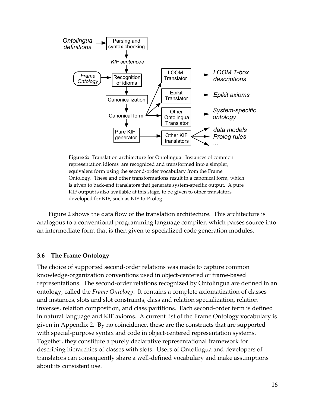

**Figure 2:** Translation architecture for Ontolingua. Instances of common representation idioms are recognized and transformed into a simpler, equivalent form using the second-order vocabulary from the Frame Ontology. These and other transformations result in a canonical form, which is given to back-end translators that generate system-specific output. A pure KIF output is also available at this stage, to be given to other translators developed for KIF, such as KIF-to-Prolog.

Figure 2 shows the data flow of the translation architecture. This architecture is analogous to a conventional programming language compiler, which parses source into an intermediate form that is then given to specialized code generation modules.

#### **3.6 The Frame Ontology**

The choice of supported second-order relations was made to capture common knowledge-organization conventions used in object-centered or frame-based representations. The second-order relations recognized by Ontolingua are defined in an ontology, called the *Frame Ontology*. It contains a complete axiomatization of classes and instances, slots and slot constraints, class and relation specialization, relation inverses, relation composition, and class partitions. Each second-order term is defined in natural language and KIF axioms. A current list of the Frame Ontology vocabulary is given in Appendix 2. By no coincidence, these are the constructs that are supported with special-purpose syntax and code in object-centered representation systems. Together, they constitute a purely declarative representational framework for describing hierarchies of classes with slots. Users of Ontolingua and developers of translators can consequently share a well-defined vocabulary and make assumptions about its consistent use.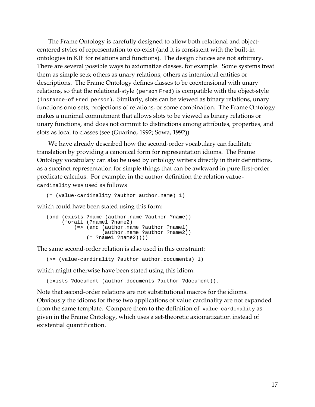The Frame Ontology is carefully designed to allow both relational and objectcentered styles of representation to co-exist (and it is consistent with the built-in ontologies in KIF for relations and functions). The design choices are not arbitrary. There are several possible ways to axiomatize classes, for example. Some systems treat them as simple sets; others as unary relations; others as intentional entities or descriptions. The Frame Ontology defines classes to be coextensional with unary relations, so that the relational-style (person Fred) is compatible with the object-style (instance-of Fred person). Similarly, slots can be viewed as binary relations, unary functions onto sets, projections of relations, or some combination. The Frame Ontology makes a minimal commitment that allows slots to be viewed as binary relations or unary functions, and does not commit to distinctions among attributes, properties, and slots as local to classes (see (Guarino, 1992; Sowa, 1992)).

We have already described how the second-order vocabulary can facilitate translation by providing a canonical form for representation idioms. The Frame Ontology vocabulary can also be used by ontology writers directly in their definitions, as a succinct representation for simple things that can be awkward in pure first-order predicate calculus. For example, in the author definition the relation valuecardinality was used as follows

```
(= (value-cardinality ?author author.name) 1)
```
which could have been stated using this form:

```
(and (exists ?name (author.name ?author ?name)) 
      (forall (?name1 ?name2) 
          (=> (and (author.name ?author ?name1) 
                   (author.name ?author ?name2)) 
               (= ?name1 ?name2))))
```
The same second-order relation is also used in this constraint:

(>= (value-cardinality ?author author.documents) 1)

which might otherwise have been stated using this idiom:

(exists ?document (author.documents ?author ?document)).

Note that second-order relations are not substitutional macros for the idioms. Obviously the idioms for these two applications of value cardinality are not expanded from the same template. Compare them to the definition of value-cardinality as given in the Frame Ontology, which uses a set-theoretic axiomatization instead of existential quantification.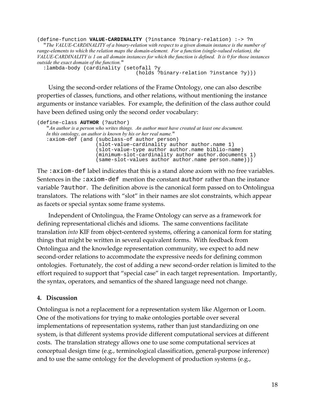(define-function **VALUE-CARDINALITY** (?instance ?binary-relation) :-> ?n "*The VALUE-CARDINALITY of a binary-relation with respect to a given domain instance is the number of range-elements to which the relation maps the domain-element. For a function (single-valued relation), the VALUE-CARDINALITY is 1 on all domain instances for which the function is defined. It is 0 for those instances outside the exact domain of the function.*"

 :lambda-body (cardinality (setofall ?y (holds ?binary-relation ?instance ?y)))

Using the second-order relations of the Frame Ontology, one can also describe properties of classes, functions, and other relations, without mentioning the instance arguments or instance variables. For example, the definition of the class author could have been defined using only the second order vocabulary:

```
(define-class AUTHOR (?author) 
  "An author is a person who writes things. An author must have created at least one document. 
  In this ontology, an author is known by his or her real name." 
  :axiom-def (and (subclass-of author person)
   (slot-value-cardinality author author.name 1) 
   (slot-value-type author author.name biblio-name) 
   (minimum-slot-cardinality author author.documents 1) 
   (same-slot-values author author.name person.name)))
```
The :axiom-def label indicates that this is a stand alone axiom with no free variables. Sentences in the :axiom-def mention the constant author rather than the instance variable ?author. The definition above is the canonical form passed on to Ontolingua translators. The relations with "slot" in their names are slot constraints, which appear as facets or special syntax some frame systems.

Independent of Ontolingua, the Frame Ontology can serve as a framework for defining representational clichés and idioms. The same conventions facilitate translation *into* KIF from object-centered systems, offering a canonical form for stating things that might be written in several equivalent forms. With feedback from Ontolingua and the knowledge representation community, we expect to add new second-order relations to accommodate the expressive needs for defining common ontologies. Fortunately, the cost of adding a new second-order relation is limited to the effort required to support that "special case" in each target representation. Importantly, the syntax, operators, and semantics of the shared language need not change.

## **4. Discussion**

Ontolingua is not a replacement for a representation system like Algernon or Loom. One of the motivations for trying to make ontologies portable over several implementations of representation systems, rather than just standardizing on one system, is that different systems provide different computational services at different costs. The translation strategy allows one to use some computational services at conceptual design time (e.g., terminological classification, general-purpose inference) and to use the same ontology for the development of production systems (e.g.,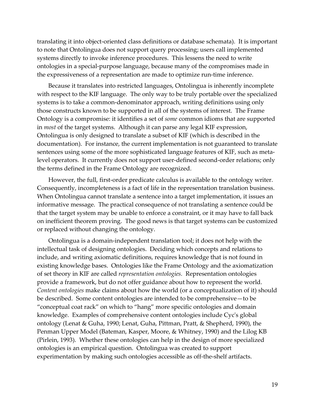translating it into object-oriented class definitions or database schemata). It is important to note that Ontolingua does not support query processing; users call implemented systems directly to invoke inference procedures. This lessens the need to write ontologies in a special-purpose language, because many of the compromises made in the expressiveness of a representation are made to optimize run-time inference.

Because it translates into restricted languages, Ontolingua is inherently incomplete with respect to the KIF language. The only way to be truly portable over the specialized systems is to take a common-denominator approach, writing definitions using only those constructs known to be supported in all of the systems of interest. The Frame Ontology is a compromise: it identifies a set of *some* common idioms that are supported in *most* of the target systems. Although it can parse any legal KIF expression, Ontolingua is only designed to translate a subset of KIF (which is described in the documentation). For instance, the current implementation is not guaranteed to translate sentences using some of the more sophisticated language features of KIF, such as metalevel operators. It currently does not support user-defined second-order relations; only the terms defined in the Frame Ontology are recognized.

However, the full, first-order predicate calculus is available to the ontology writer. Consequently, incompleteness is a fact of life in the representation translation business. When Ontolingua cannot translate a sentence into a target implementation, it issues an informative message. The practical consequence of not translating a sentence could be that the target system may be unable to enforce a constraint, or it may have to fall back on inefficient theorem proving. The good news is that target systems can be customized or replaced without changing the ontology.

Ontolingua is a domain-independent translation tool; it does not help with the intellectual task of designing ontologies. Deciding which concepts and relations to include, and writing axiomatic definitions, requires knowledge that is not found in existing knowledge bases. Ontologies like the Frame Ontology and the axiomatization of set theory in KIF are called *representation ontologies.* Representation ontologies provide a framework, but do not offer guidance about how to represent the world. *Content ontologies* make claims about how the world (or a conceptualization of it) should be described. Some content ontologies are intended to be comprehensive—to be "conceptual coat rack" on which to "hang" more specific ontologies and domain knowledge. Examples of comprehensive content ontologies include Cyc's global ontology (Lenat & Guha, 1990; Lenat, Guha, Pittman, Pratt, & Shepherd, 1990), the Penman Upper Model (Bateman, Kasper, Moore, & Whitney, 1990) and the Lilog KB (Pirlein, 1993). Whether these ontologies can help in the design of more specialized ontologies is an empirical question. Ontolingua was created to support experimentation by making such ontologies accessible as off-the-shelf artifacts.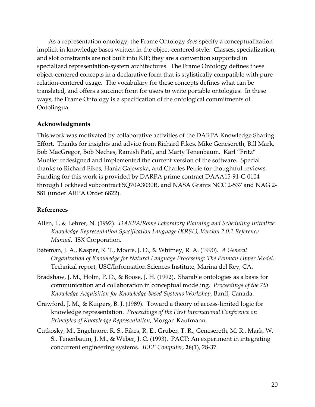As a representation ontology, the Frame Ontology *does* specify a conceptualization implicit in knowledge bases written in the object-centered style. Classes, specialization, and slot constraints are not built into KIF; they are a convention supported in specialized representation-system architectures. The Frame Ontology defines these object-centered concepts in a declarative form that is stylistically compatible with pure relation-centered usage. The vocabulary for these concepts defines what can be translated, and offers a succinct form for users to write portable ontologies. In these ways, the Frame Ontology is a specification of the ontological commitments of Ontolingua.

## **Acknowledgments**

This work was motivated by collaborative activities of the DARPA Knowledge Sharing Effort. Thanks for insights and advice from Richard Fikes, Mike Genesereth, Bill Mark, Bob MacGregor, Bob Neches, Ramish Patil, and Marty Tenenbaum. Karl "Fritz" Mueller redesigned and implemented the current version of the software. Special thanks to Richard Fikes, Hania Gajewska, and Charles Petrie for thoughtful reviews. Funding for this work is provided by DARPA prime contract DAAA15-91-C-0104 through Lockheed subcontract SQ70A3030R, and NASA Grants NCC 2-537 and NAG 2- 581 (under ARPA Order 6822).

## **References**

- Allen, J., & Lehrer, N. (1992). *DARPA/Rome Laboratory Planning and Scheduling Initiative Knowledge Representation Specification Language (KRSL), Version 2.0.1 Reference Manual*. ISX Corporation.
- Bateman, J. A., Kasper, R. T., Moore, J. D., & Whitney, R. A. (1990). *A General Organization of Knowledge for Natural Language Processing: The Penman Upper Model*. Technical report, USC/Information Sciences Institute, Marina del Rey, CA.
- Bradshaw, J. M., Holm, P. D., & Boose, J. H. (1992). Sharable ontologies as a basis for communication and collaboration in conceptual modeling. *Proceedings of the 7th Knowledge Acquisition for Knowledge-based Systems Workshop,* Banff, Canada.
- Crawford, J. M., & Kuipers, B. J. (1989). Toward a theory of access-limited logic for knowledge representation. *Proceedings of the First International Conference on Principles of Knowledge Representation*, Morgan Kaufmann.
- Cutkosky, M., Engelmore, R. S., Fikes, R. E., Gruber, T. R., Genesereth, M. R., Mark, W. S., Tenenbaum, J. M., & Weber, J. C. (1993). PACT: An experiment in integrating concurrent engineering systems. *IEEE Computer*, **26**(1), 28-37.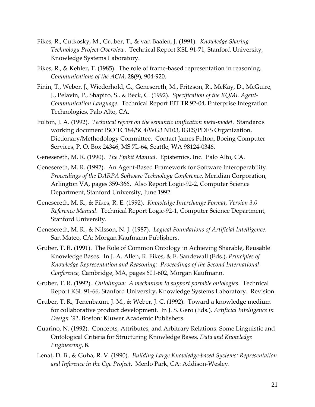- Fikes, R., Cutkosky, M., Gruber, T., & van Baalen, J. (1991). *Knowledge Sharing Technology Project Overview*. Technical Report KSL 91-71, Stanford University, Knowledge Systems Laboratory.
- Fikes, R., & Kehler, T. (1985). The role of frame-based representation in reasoning. *Communications of the ACM*, **28**(9), 904-920.
- Finin, T., Weber, J., Wiederhold, G., Genesereth, M., Fritzson, R., McKay, D., McGuire, J., Pelavin, P., Shapiro, S., & Beck, C. (1992). *Specification of the KQML Agent-Communication Language*. Technical Report EIT TR 92-04, Enterprise Integration Technologies, Palo Alto, CA.
- Fulton, J. A. (1992). *Technical report on the semantic unification meta-model*. Standards working document ISO TC184/SC4/WG3 N103, IGES/PDES Organization, Dictionary/Methodology Committee. Contact James Fulton, Boeing Computer Services, P. O. Box 24346, MS 7L-64, Seattle, WA 98124-0346.
- Genesereth, M. R. (1990). *The Epikit Manual*. Epistemics, Inc. Palo Alto, CA.
- Genesereth, M. R. (1992). An Agent-Based Framework for Software Interoperability. *Proceedings of the DARPA Software Technology Conference,* Meridian Corporation, Arlington VA, pages 359-366. Also Report Logic-92-2, Computer Science Department, Stanford University, June 1992.
- Genesereth, M. R., & Fikes, R. E. (1992). *Knowledge Interchange Format, Version 3.0 Reference Manual*. Technical Report Logic-92-1, Computer Science Department, Stanford University.
- Genesereth, M. R., & Nilsson, N. J. (1987). *Logical Foundations of Artificial Intelligence*. San Mateo, CA: Morgan Kaufmann Publishers.
- Gruber, T. R. (1991). The Role of Common Ontology in Achieving Sharable, Reusable Knowledge Bases. In J. A. Allen, R. Fikes, & E. Sandewall (Eds.), *Principles of Knowledge Representation and Reasoning: Proceedings of the Second International Conference,* Cambridge, MA, pages 601-602, Morgan Kaufmann.
- Gruber, T. R. (1992). *Ontolingua: A mechanism to support portable ontologies*. Technical Report KSL 91-66, Stanford University, Knowledge Systems Laboratory. Revision.
- Gruber, T. R., Tenenbaum, J. M., & Weber, J. C. (1992). Toward a knowledge medium for collaborative product development. In J. S. Gero (Eds.), *Artificial Intelligence in Design '92*. Boston: Kluwer Academic Publishers.
- Guarino, N. (1992). Concepts, Attributes, and Arbitrary Relations: Some Linguistic and Ontological Criteria for Structuring Knowledge Bases. *Data and Knowledge Engineering*, **8**.
- Lenat, D. B., & Guha, R. V. (1990). *Building Large Knowledge-based Systems: Representation and Inference in the Cyc Project*. Menlo Park, CA: Addison-Wesley.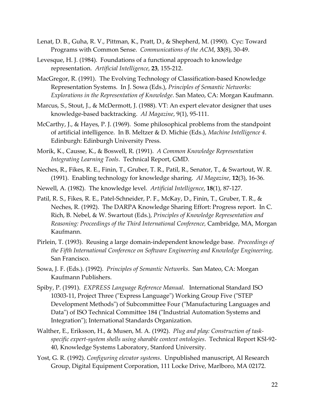- Lenat, D. B., Guha, R. V., Pittman, K., Pratt, D., & Shepherd, M. (1990). Cyc: Toward Programs with Common Sense. *Communications of the ACM*, **33**(8), 30-49.
- Levesque, H. J. (1984). Foundations of a functional approach to knowledge representation. *Artificial Intelligence*, **23**, 155-212.
- MacGregor, R. (1991). The Evolving Technology of Classification-based Knowledge Representation Systems. In J. Sowa (Eds.), *Principles of Semantic Networks: Explorations in the Representation of Knowledge*. San Mateo, CA: Morgan Kaufmann.
- Marcus, S., Stout, J., & McDermott, J. (1988). VT: An expert elevator designer that uses knowledge-based backtracking. *AI Magazine*, 9(1), 95-111.
- McCarthy, J., & Hayes, P. J. (1969). Some philosophical problems from the standpoint of artificial intelligence. In B. Meltzer & D. Michie (Eds.), *Machine Intelligence 4*. Edinburgh: Edinburgh University Press.
- Morik, K., Causse, K., & Boswell, R. (1991). *A Common Knowledge Representation Integrating Learning Tools*. Technical Report, GMD.
- Neches, R., Fikes, R. E., Finin, T., Gruber, T. R., Patil, R., Senator, T., & Swartout, W. R. (1991). Enabling technology for knowledge sharing. *AI Magazine*, **12**(3), 16-36.
- Newell, A. (1982). The knowledge level. *Artificial Intelligence*, **18**(1), 87-127.
- Patil, R. S., Fikes, R. E., Patel-Schneider, P. F., McKay, D., Finin, T., Gruber, T. R., & Neches, R. (1992). The DARPA Knowledge Sharing Effort: Progress report. In C. Rich, B. Nebel, & W. Swartout (Eds.), *Principles of Knowledge Representation and Reasoning: Proceedings of the Third International Conference,* Cambridge, MA, Morgan Kaufmann.
- Pirlein, T. (1993). Reusing a large domain-independent knowledge base. *Proceedings of the Fifth International Conference on Software Engineering and Knowledge Engineering,*  San Francisco.
- Sowa, J. F. (Eds.). (1992). *Principles of Semantic Networks*. San Mateo, CA: Morgan Kaufmann Publishers.
- Spiby, P. (1991). *EXPRESS Language Reference Manual*. International Standard ISO 10303-11, Project Three ("Express Language") Working Group Five ("STEP Development Methods") of Subcommittee Four ("Manufacturing Languages and Data") of ISO Technical Committee 184 ("Industrial Automation Systems and Integration"); International Standards Organization.
- Walther, E., Eriksson, H., & Musen, M. A. (1992). *Plug and play: Construction of taskspecific expert-system shells using sharable context ontologies*. Technical Report KSl-92- 40, Knowledge Systems Laboratory, Stanford University.
- Yost, G. R. (1992). *Configuring elevator systems*. Unpublished manuscript, AI Research Group, Digital Equipment Corporation, 111 Locke Drive, Marlboro, MA 02172.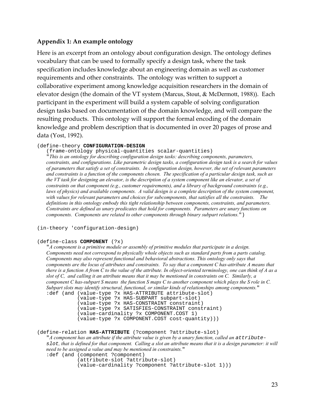### **Appendix 1: An example ontology**

Here is an excerpt from an ontology about configuration design. The ontology defines vocabulary that can be used to formally specify a design task, where the task specification includes knowledge about an engineering domain as well as customer requirements and other constraints. The ontology was written to support a collaborative experiment among knowledge acquisition researchers in the domain of elevator design (the domain of the VT system (Marcus, Stout, & McDermott, 1988)). Each participant in the experiment will build a system capable of solving configuration design tasks based on documentation of the domain knowledge, and will compare the resulting products. This ontology will support the formal encoding of the domain knowledge and problem description that is documented in over 20 pages of prose and data (Yost, 1992).

#### (define-theory **CONFIGURATION-DESIGN**

(frame-ontology physical-quantities scalar-quantities)

"*This is an ontology for describing configuration design tasks: describing components, parameters, constraints, and configurations. Like parametric design tasks, a configuration design task is a search for values of parameters that satisfy a set of constraints. In configuration design, however, the set of relevant parameters and constraints is a function of the components chosen. The specification of a particular design task, such as the VT task for designing an elevator, is the description of a system component like an elevator, a set of constraints on that component (e.g., customer requirements), and a library of background constraints (e.g.,*  laws of physics) and available components. A valid design is a complete description of the system component, *with values for relevant parameters and choices for subcomponents, that satisfies all the constraints. The definitions in this ontology embody this tight relationship between components, constraints, and parameters. Constraints are defined as unary predicates that hold for components. Parameters are unary functions on components. Components are related to other components through binary subpart relations.*")

(in-theory 'configuration-design)

#### (define-class **COMPONENT** (?x)

"*A component is a primitive module or assembly of primitive modules that participate in a design. Components need not correspond to physically whole objects such as standard parts from a parts catalog. Components may also represent functional and behavioral abstractions. This ontology only says that components are the locus of attributes and constraints. To say that a component C has-attribute A means that there is a function A from C to the value of the attribute. In object-oriented terminology, one can think of A as a slot of C, and calling it an attribute means that it may be mentioned in constraints on C. Similarly, a component C has-subpart S means the function S maps C to another component which plays the S role in C. Subpart slots may identify structural, functional, or similar kinds of relationships among components.*" :def (and (value-type ?x HAS-ATTRIBUTE attribute-slot)

 (value-type ?x HAS-SUBPART subpart-slot) (value-type ?x HAS-CONSTRAINT constraint) (value-type ?x SATISFIES-CONSTRAINT constraint) (value-cardinality ?x COMPONENT.COST 1) (value-type ?x COMPONENT.COST cost-quantity)))

(define-relation **HAS-ATTRIBUTE** (?component ?attribute-slot)

"*A component has an attribute if the attribute value is given by a unary function, called an attribute*slot*, that is defined for that component. Calling a slot an attribute means that it is a design parameter: it will need to be assigned a value and may be mentioned in constraints.*"

:def (and (component ?component)

 (attribute-slot ?attribute-slot) (value-cardinality ?component ?attribute-slot 1)))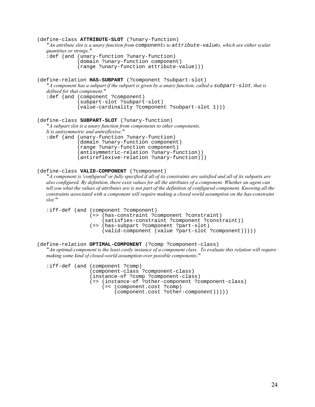```
(define-class ATTRIBUTE-SLOT (?unary-function) 
   "An attribute slot is a unary function from components to attribute-values, which are either scalar 
   quantities or strings." 
   :def (and (unary-function ?unary-function) 
                 (domain ?unary-function component) 
                 (range ?unary-function attribute-value))) 
(define-relation HAS-SUBPART (?component ?subpart-slot) 
   "A component has a subpart if the subpart is given by a unary function, called a subpart-slot, that is
   defined for that component." 
   :def (and (component ?component) 
                 (subpart-slot ?subpart-slot) 
                 (value-cardinality ?component ?subpart-slot 1))) 
(define-class SUBPART-SLOT (?unary-function) 
   "A subpart slot is a unary function from components to other components. 
   It is antisymmetric and antireflexive." 
   :def (and (unary-function ?unary-function) 
                 (domain ?unary-function component) 
                 (range ?unary-function component) 
                 (antisymmetric-relation ?unary-function)) 
                 (antireflexive-relation ?unary-function))) 
(define-class VALID-COMPONENT (?component) 
   "A component is 'configured' or fully specified if all of its constraints are satisfied and all of its subparts are 
   also configured. By definition, there exist values for all the attributes of a component. Whether an agent can 
   tell you what the values of attributes are is not part of the definition of configured component. Knowing all the
   constraints associated with a component will require making a closed world assumption on the has-constraint 
   slot." 
   :iff-def (and (component ?component) 
                      (=> (has-constraint ?component ?constraint) 
                           (satisfies-constraint ?component ?constraint))
```

```
 (=> (has-subpart ?component ?part-slot) 
     (valid-component (value ?part-slot ?component)))))
```
(define-relation **OPTIMAL-COMPONENT** (?comp ?component-class) "*An optimal-component is the least costly instance of a component class. To evaluate this relation will require making some kind of closed-world assumption over possible components.*"

:iff-def (and (component ?comp) (component-class ?component-class) (instance-of ?comp ?component-class) (=> (instance-of ?other-component ?component-class) (=< (component.cost ?comp) (component.cost ?other-component)))))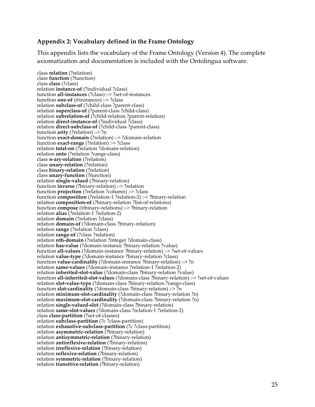### **Appendix 2: Vocabulary defined in the Frame Ontology**

This appendix lists the vocabulary of the Frame Ontology (Version 4). The complete axiomatization and documentation is included with the Ontolingua software.

class **relation** (?relation) class **function** (?function) class **class** (?class) relation **instance-of** (?individual ?class) function **all-instances** (?class) :-> ?set-of-instances function **one-of** (@instances) :-> ?class relation **subclass-of** (?child-class ?parent-class) relation **superclass-of** (?parent-class ?child-class) relation **subrelation-of** (?child-relation ?parent-relation) relation **direct-instance-of** (?individual ?class) relation **direct-subclass-of** (?child-class ?parent-class) function **arity** (?relation) :-> ?n function **exact-domain** (?relation) :-> ?domain-relation function **exact-range** (?relation) :-> ?class relation **total-on** (?relation ?domain-relation) relation **onto** (?relation ?range-class) class **n-ary-relation** (?relation) class **unary-relation** (?relation) class **binary-relation** (?relation) class **unary-function** (?function) relation **single-valued** (?binary-relation) function **inverse** (?binary-relation) :-> ?relation function **projection** (?relation ?column) :-> ?class function **composition** (?relation-1 ?relation-2) :-> ?binary-relation relation **composition-of** (?binary-relation ?list-of-relations) function **compose** (@binary-relations) :-> ?binary-relation relation **alias** (?relation-1 ?relation-2) relation **domain** (?relation ?class) relation **domain-of** (?domain-class ?binary-relation) relation **range** (?relation ?class) relation **range-of** (?class ?relation) relation **nth-domain** (?relation ?integer ?domain-class) relation **has-value** (?domain-instance ?binary-relation ?value) function **all-values** (?domain-instance ?binary-relation) :-> ?set-of-values relation **value-type** (?domain-instance ?binary-relation ?class) function **value-cardinality** (?domain-instance ?binary-relation) :-> ?n relation **same-values** (?domain-instance ?relation-1 ?relation-2) relation **inherited-slot-value** (?domain-class ?binary-relation ?value) function **all-inherited-slot-values** (?domain-class ?binary-relation) :-> ?set-of-values relation **slot-value-type** (?domain-class ?binary-relation ?range-class) function **slot-cardinality** (?domain-class ?binary-relation) :-> ?n relation **minimum-slot-cardinality** (?domain-class ?binary-relation ?n) relation **maximum-slot-cardinality** (?domain-class ?binary-relation ?n) relation **single-valued-slot** (?domain-class ?binary-relation) relation **same-slot-values** (?domain-class ?relation-1 ?relation-2) class **class-partition** (?set-of-classes) relation **subclass-partition** (?c ?class-partition) relation **exhaustive-subclass-partition** (?c ?class-partition) relation **asymmetric-relation** (?binary-relation) relation **antisymmetric-relation** (?binary-relation) relation **antireflexive-relation** (?binary-relation) relation **irreflexive-relation** (?binary-relation) relation **reflexive-relation** (?binary-relation) relation **symmetric-relation** (?binary-relation) relation **transitive-relation** (?binary-relation)